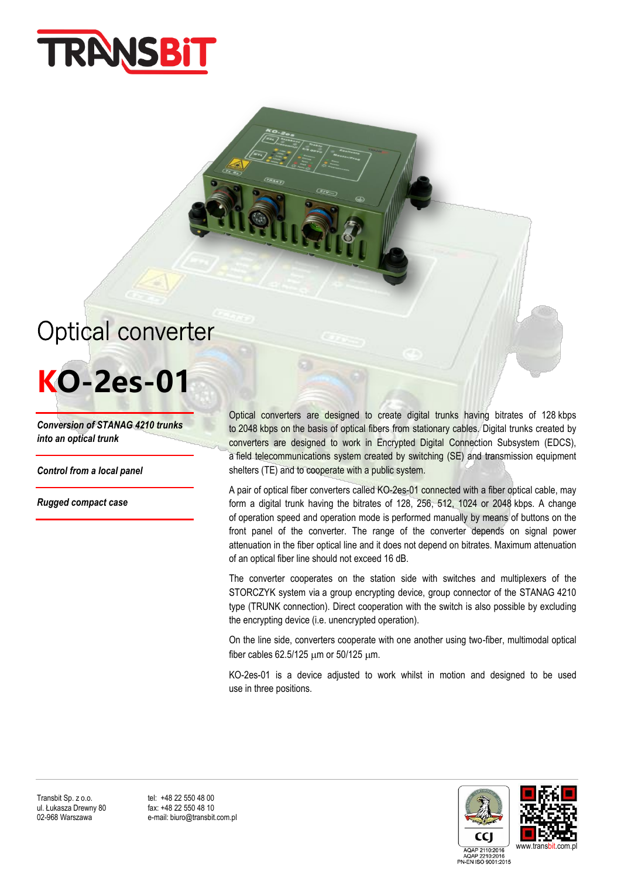

## Optical converter

## **KO-2es-01**

*Conversion of STANAG 4210 trunks into an optical trunk*

*Control from a local panel* 

*Rugged compact case*

Optical converters are designed to create digital trunks having bitrates of 128 kbps to 2048 kbps on the basis of optical fibers from stationary cables. Digital trunks created by converters are designed to work in Encrypted Digital Connection Subsystem (EDCS), a field telecommunications system created by switching (SE) and transmission equipment shelters (TE) and to cooperate with a public system.

A pair of optical fiber converters called KO-2es-01 connected with a fiber optical cable, may form a digital trunk having the bitrates of 128, 256, 512, 1024 or 2048 kbps. A change of operation speed and operation mode is performed manually by means of buttons on the front panel of the converter. The range of the converter depends on signal power attenuation in the fiber optical line and it does not depend on bitrates. Maximum attenuation of an optical fiber line should not exceed 16 dB.

The converter cooperates on the station side with switches and multiplexers of the STORCZYK system via a group encrypting device, group connector of the STANAG 4210 type (TRUNK connection). Direct cooperation with the switch is also possible by excluding the encrypting device (i.e. unencrypted operation).

On the line side, converters cooperate with one another using two-fiber, multimodal optical fiber cables 62.5/125  $\mu$ m or 50/125  $\mu$ m.

KO-2es-01 is a device adjusted to work whilst in motion and designed to be used use in three positions.

Transbit Sp. z o.o. tel: +48 22 550 48 00<br>
ul. Łukasza Drewny 80 fax: +48 22 550 48 10 ul. Łukasza Drewny 80<br>02-968 Warszawa

e-mail: biuro@transbit.com.pl